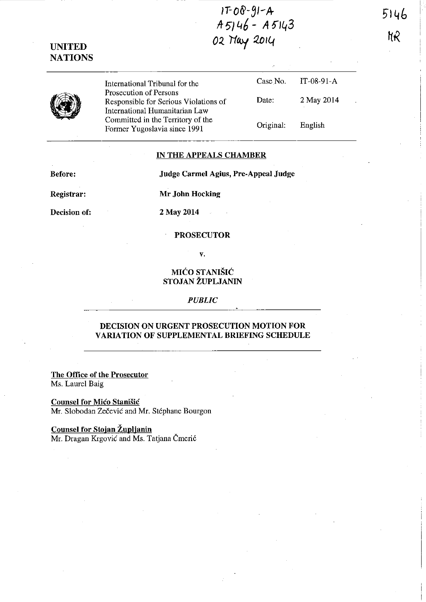$17-08-91-A$ <br> $A5146 - A5143$ 02 May 2014

5146 ΝR



**UNITED NATIONS** 

> International Tribunal for the Prosecution of Persons Responsible for Serious Violations of International Humanitarian Law Committed in the Territory of the Former Yugoslavia since 1991

## Date: 2 May 2014 Original: English

IT-08-91-A

Case No.

#### **IN THE APPEALS CHAMBER**

**Before:** 

Judge Carmel Agius, Pre-Appeal Judge

Registrar:

Mr John Hocking

Decision of:

2 May 2014

### **PROSECUTOR**

### $\mathbf{v}$ .

## MIĆO STANIŠIĆ STOJAN ŽUPLJANIN

### **PUBLIC**

## DECISION ON URGENT PROSECUTION MOTION FOR **VARIATION OF SUPPLEMENTAL BRIEFING SCHEDULE**

The Office of the Prosecutor Ms. Laurel Baig

**Counsel for Mico Stanišic** Mr. Slobodan Zečević and Mr. Stéphane Bourgon

# **Counsel for Stojan Župljanin**

Mr. Dragan Krgović and Ms. Tatjana Čmerić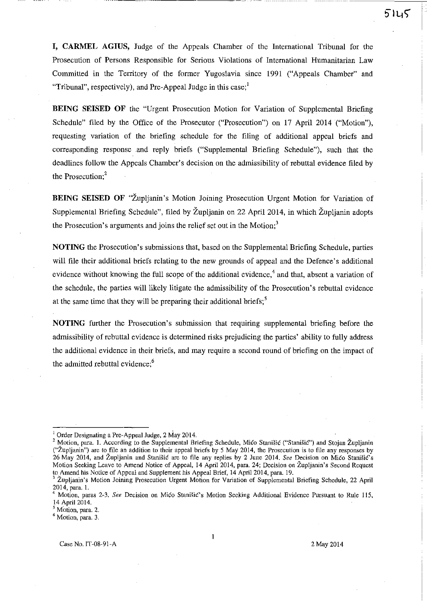**I, CARMEL AGIUS,** Judge of the Appeals Chamber of the International Tribunal for the Prosecution of Persons Responsible for Serious Violations of International Humanitarian Law Committed in the Territory of the former Yugoslavia since 1991 ("Appeals Chamber" and "Tribunal", respectively), and Pre-Appeal Judge in this case; $<sup>1</sup>$ </sup>

**BEING SEISED OF** the "Urgent Prosecution Motion for Variation of Supplemental Briefing Schedule" filed by the Office of the Prosecutor ("Prosecution") on 17 April 2014 ("Motion"), requesting variation of the briefing schedule for the filing of additional appeal briefs and corresponding response and reply briefs ("Supplemental Briefing Schedule"), such that the deadlines follow the Appeals Chamber's decision on the admissibility of rebuttal evidence filed by the Prosecution<sup>2</sup>

**BEING SEISED OF "Župljanin's Motion Joining Prosecution Urgent Motion for Variation of** Supplemental Briefing Schedule", filed by Zupljanin on 22 April 2014, in which Zupljanin adopts the Prosecution's arguments and joins the relief set out in the Motion; $3$ 

**NOTING** the Prosecution's submissions that, based on the Supplemental Briefing Schedule, parties will file their additional briefs relating to the new grounds of appeal and the Defence's additional evidence without knowing the full scope of the additional evidence,<sup>4</sup> and that, absent a variation of the schedule, the parties will likely litigate the admissibility of the Prosecution's rebuttal evidence at the same time that they will be preparing their additional briefs;<sup>5</sup>

**NOTING** further the Prosecution's submission that requiring supplemental briefing before the admissibility of rebuttal evidence is determined risks prejudicing the parties' ability to fully address the additional evidence in their briefs, and may require a second round of briefing on the impact of the admitted rebuttal evidence;<sup>6</sup>

 $1$  Order Designating a Pre-Appeal Judge, 2 May 2014.

<sup>&</sup>lt;sup>2</sup> Motion, para. 1. According to the Supplemental Briefing Schedule, Mico Stanišic ("Stanišic") and Stojan Župljanin **("Zupljanin") are to file an addition to their appeal briefs by 5 May 2014, the Prosecution is to file any responses by**  26 May 2014, and Župljanin and Stanišić are to file any replies by 2 June 2014. See Decision on Mićo Stanišić's **Motion Seeking Leave to Amend Notice of Appeal, 14 April 2014, para. 24; Decision on Zupljanin's Second Request**  to Amend his Notice of Appeal and Supplement his Appeal Brief, 14 April 2014, para. 19.

<sup>3</sup>**Zupljanin's Motion Joining Prosecution Urgent Motion for Variation of Supplemental Briefing Schedule, 22 April**  2014, para. 1.

<sup>4</sup> **Motion, paras 2-3.** *See* **Decision on Mico StaniSiC's Motion Seeking Additional Evidence Pursuant to Rule 115,**  14 April 2014.

<sup>5</sup>**Motion, para. 2.** 

<sup>6</sup> **Motion, para. 3.**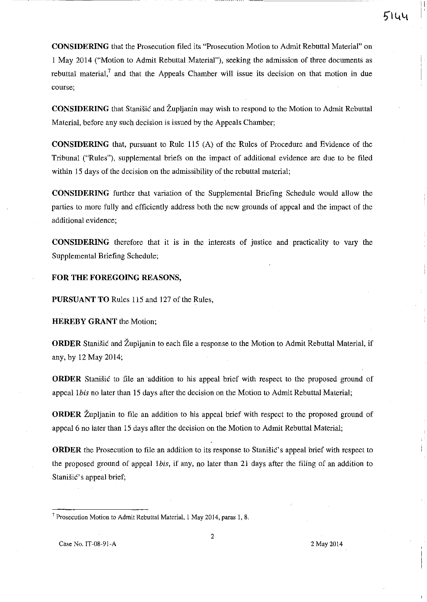**CONSIDERING** that the Prosecution filed its "Prosecution Motion to Admit Rebuttal Material" on I May 2014 ("Motion to Admit Rebuttal Material"), seeking the admission of three documents as rebuttal material,<sup>7</sup> and that the Appeals Chamber will issue its decision on that motion in due **course;** 

**CONSIDERING** that Stanisic and Župljanin may wish to respond to the Motion to Admit Rebuttal Material, before any such decision is issued by the Appeals Chamber;

**CONSIDERING** that, pursuant to Rule 115 (A) of the Rules of Procedure and Evidence of the Tribunal ("Rules"), supplemental briefs on the impact of additional evidence are due to be filed within 15 days of the decision on the admissibility of the rebuttal material;

**CONSIDERING** further that variation of the Supplemental Briefing Schedule would allow the parties to more fully and efficiently address both the new grounds of appeal and the impact of the additional evidence;

**CONSIDERING** therefore that it is in the interests of justice and practicality to vary the Supplemental Briefing Schedule;

**FOR THE FOREGOING REASONS,** 

**PURSUANT TO** Rules 115 and 127 of the Rules,

**HEREBY GRANT** the Motion;

**ORDER** Stanisic and Zupljanin to each file a response to the Motion to Admit Rebuttal Material, if any, by 12 May 2014;

**ORDER** Stanisic to file an addition to his appeal brief with respect to the proposed ground of appeal *Ibis* no later than 15 days after the decision on the Motion to Admit Rebuttal Material;

**ORDER** Župljanin to file an addition to his appeal brief with respect to the proposed ground of appeal 6 no later than 15 days after the decision on the Motion to Admit Rebuttal Material;

**ORDER** the Prosecution to file an addition to its response to Stanisic's appeal brief with respect to the proposed ground of appeal *Ibis,* if any, no later than 21 days after the filing of an addition to Stanisic's appeal brief;

**<sup>7</sup> Prosecution Motion to Admit Rebuttal Material, 1 May 2014, paras 1, 8.**